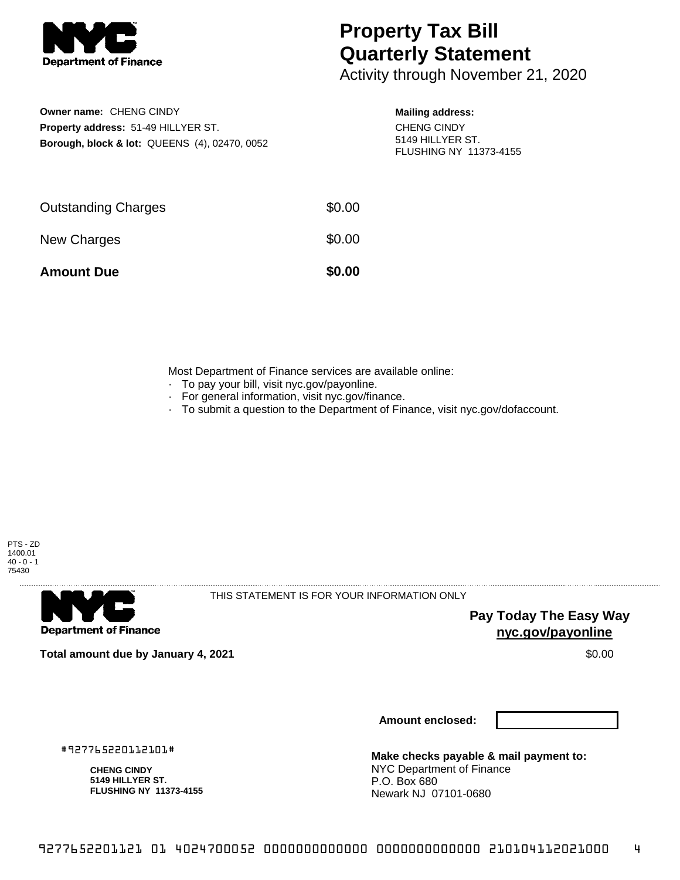

## **Property Tax Bill Quarterly Statement**

Activity through November 21, 2020

**Owner name:** CHENG CINDY **Property address:** 51-49 HILLYER ST. **Borough, block & lot:** QUEENS (4), 02470, 0052

## **Mailing address:**

CHENG CINDY 5149 HILLYER ST. FLUSHING NY 11373-4155

| <b>Amount Due</b>          | \$0.00 |
|----------------------------|--------|
| New Charges                | \$0.00 |
| <b>Outstanding Charges</b> | \$0.00 |

Most Department of Finance services are available online:

- · To pay your bill, visit nyc.gov/payonline.
- For general information, visit nyc.gov/finance.
- · To submit a question to the Department of Finance, visit nyc.gov/dofaccount.





THIS STATEMENT IS FOR YOUR INFORMATION ONLY

**Pay Today The Easy Way nyc.gov/payonline**

**Total amount due by January 4, 2021** \$0.00

**Amount enclosed:**

#927765220112101#

**CHENG CINDY 5149 HILLYER ST. FLUSHING NY 11373-4155**

**Make checks payable & mail payment to:** NYC Department of Finance P.O. Box 680 Newark NJ 07101-0680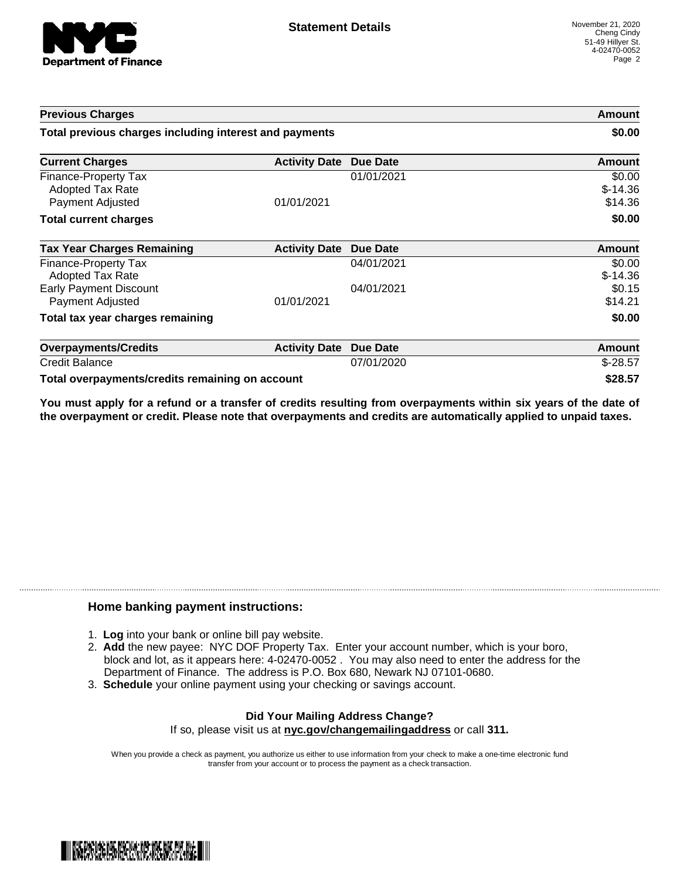

| <b>Previous Charges</b>                                             |                      |                 | Amount                         |
|---------------------------------------------------------------------|----------------------|-----------------|--------------------------------|
| Total previous charges including interest and payments              |                      |                 | \$0.00                         |
| <b>Current Charges</b>                                              | <b>Activity Date</b> | <b>Due Date</b> | Amount                         |
| Finance-Property Tax<br><b>Adopted Tax Rate</b><br>Payment Adjusted | 01/01/2021           | 01/01/2021      | \$0.00<br>$$-14.36$<br>\$14.36 |
| <b>Total current charges</b>                                        |                      |                 | \$0.00                         |
| <b>Tax Year Charges Remaining</b>                                   | <b>Activity Date</b> | <b>Due Date</b> | <b>Amount</b>                  |
| Finance-Property Tax<br>Adopted Tax Rate                            |                      | 04/01/2021      | \$0.00<br>$$-14.36$            |
| <b>Early Payment Discount</b><br>Payment Adjusted                   | 01/01/2021           | 04/01/2021      | \$0.15<br>\$14.21              |
| Total tax year charges remaining                                    |                      |                 | \$0.00                         |
| <b>Overpayments/Credits</b>                                         | <b>Activity Date</b> | <b>Due Date</b> | Amount                         |
| <b>Credit Balance</b>                                               |                      | 07/01/2020      | $$-28.57$                      |
| Total overpayments/credits remaining on account                     |                      |                 | \$28.57                        |

You must apply for a refund or a transfer of credits resulting from overpayments within six years of the date of **the overpayment or credit. Please note that overpayments and credits are automatically applied to unpaid taxes.**

## **Home banking payment instructions:**

- 1. **Log** into your bank or online bill pay website.
- 2. **Add** the new payee: NYC DOF Property Tax. Enter your account number, which is your boro, block and lot, as it appears here: 4-02470-0052 . You may also need to enter the address for the Department of Finance. The address is P.O. Box 680, Newark NJ 07101-0680.
- 3. **Schedule** your online payment using your checking or savings account.

## **Did Your Mailing Address Change?** If so, please visit us at **nyc.gov/changemailingaddress** or call **311.**

When you provide a check as payment, you authorize us either to use information from your check to make a one-time electronic fund transfer from your account or to process the payment as a check transaction.